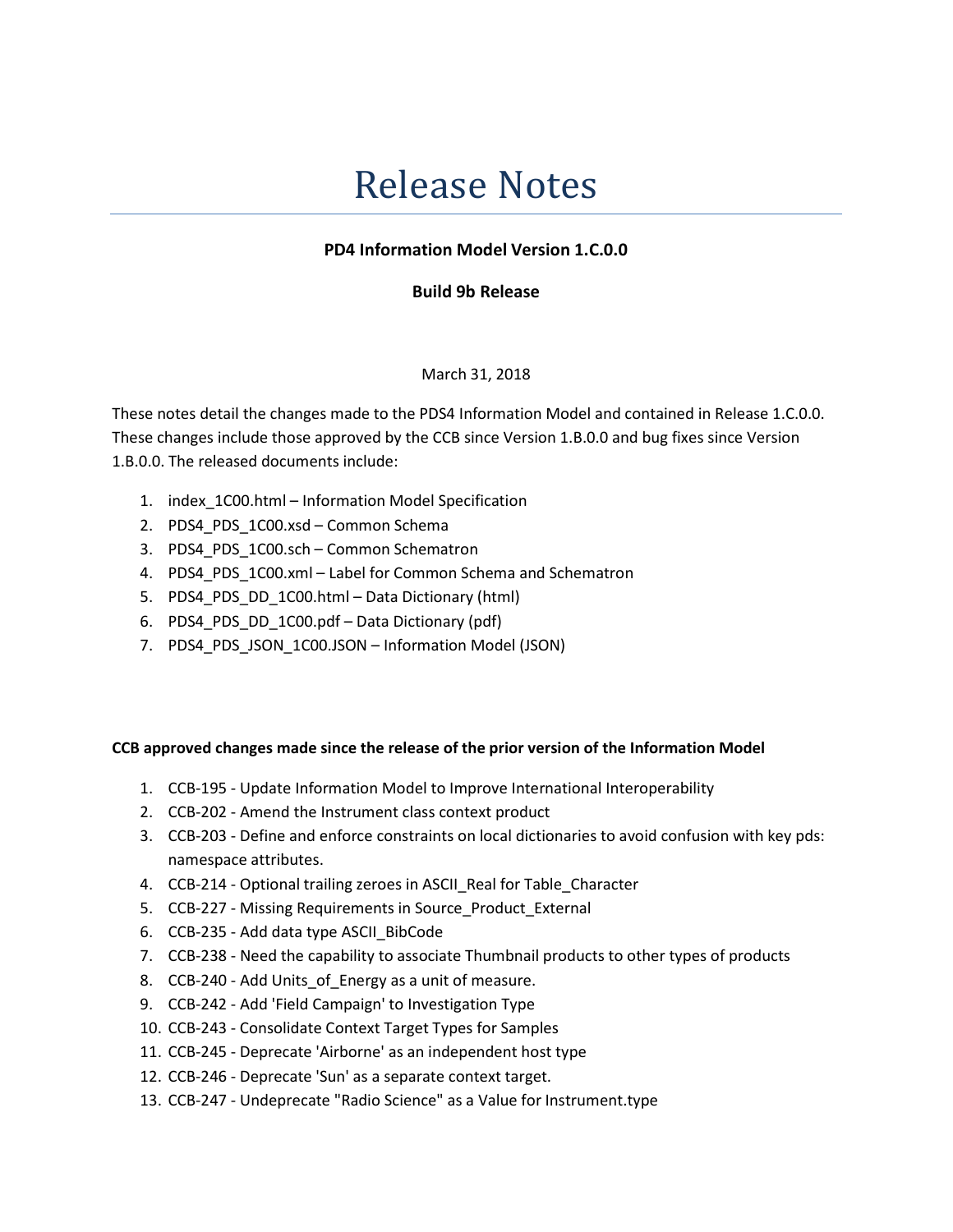# Release Notes

## PD4 Information Model Version 1.C.0.0

## Build 9b Release

#### March 31, 2018

These notes detail the changes made to the PDS4 Information Model and contained in Release 1.C.0.0. These changes include those approved by the CCB since Version 1.B.0.0 and bug fixes since Version 1.B.0.0. The released documents include:

- 1. index\_1C00.html Information Model Specification
- 2. PDS4 PDS 1C00.xsd Common Schema
- 3. PDS4 PDS 1C00.sch Common Schematron
- 4. PDS4\_PDS\_1C00.xml Label for Common Schema and Schematron
- 5. PDS4\_PDS\_DD\_1C00.html Data Dictionary (html)
- 6. PDS4\_PDS\_DD\_1C00.pdf Data Dictionary (pdf)
- 7. PDS4\_PDS\_JSON\_1C00.JSON Information Model (JSON)

#### CCB approved changes made since the release of the prior version of the Information Model

- 1. CCB-195 Update Information Model to Improve International Interoperability
- 2. CCB-202 Amend the Instrument class context product
- 3. CCB-203 Define and enforce constraints on local dictionaries to avoid confusion with key pds: namespace attributes.
- 4. CCB-214 Optional trailing zeroes in ASCII\_Real for Table\_Character
- 5. CCB-227 Missing Requirements in Source Product External
- 6. CCB-235 Add data type ASCII\_BibCode
- 7. CCB-238 Need the capability to associate Thumbnail products to other types of products
- 8. CCB-240 Add Units of Energy as a unit of measure.
- 9. CCB-242 Add 'Field Campaign' to Investigation Type
- 10. CCB-243 Consolidate Context Target Types for Samples
- 11. CCB-245 Deprecate 'Airborne' as an independent host type
- 12. CCB-246 Deprecate 'Sun' as a separate context target.
- 13. CCB-247 Undeprecate "Radio Science" as a Value for Instrument.type